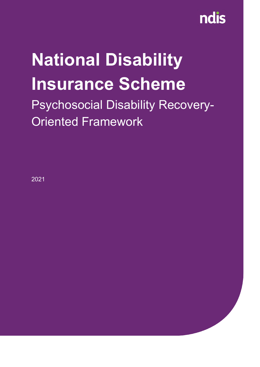

### **National Disability Insurance Scheme**

Psychosocial Disability Recovery-Oriented Framework

2021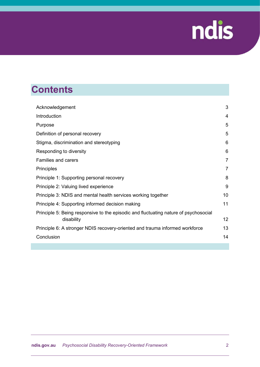

### **Contents**

| Acknowledgement                                                                                    | 3               |
|----------------------------------------------------------------------------------------------------|-----------------|
| Introduction                                                                                       | 4               |
| Purpose                                                                                            | 5               |
| Definition of personal recovery                                                                    | 5               |
| Stigma, discrimination and stereotyping                                                            | 6               |
| Responding to diversity                                                                            | 6               |
| <b>Families and carers</b>                                                                         | 7               |
| Principles                                                                                         | 7               |
| Principle 1: Supporting personal recovery                                                          | 8               |
| Principle 2: Valuing lived experience                                                              | 9               |
| Principle 3: NDIS and mental health services working together                                      | 10              |
| Principle 4: Supporting informed decision making                                                   | 11              |
| Principle 5: Being responsive to the episodic and fluctuating nature of psychosocial<br>disability | 12 <sub>2</sub> |
| Principle 6: A stronger NDIS recovery-oriented and trauma informed workforce                       | 13              |
| Conclusion                                                                                         | 14              |
|                                                                                                    |                 |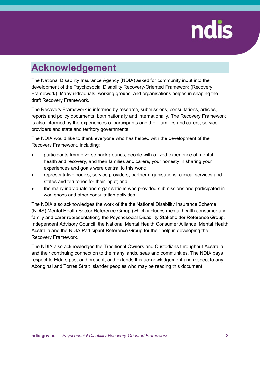### <span id="page-2-0"></span>**Acknowledgement**

The National Disability Insurance Agency (NDIA) asked for community input into the development of the Psychosocial Disability Recovery-Oriented Framework (Recovery Framework). Many individuals, working groups, and organisations helped in shaping the draft Recovery Framework.

The Recovery Framework is informed by research, submissions, consultations, articles, reports and policy documents, both nationally and internationally. The Recovery Framework is also informed by the experiences of participants and their families and carers, service providers and state and territory governments.

The NDIA would like to thank everyone who has helped with the development of the Recovery Framework, including:

- participants from diverse backgrounds, people with a lived experience of mental ill health and recovery, and their families and carers, your honesty in sharing your experiences and goals were central to this work;
- representative bodies, service providers, partner organisations, clinical services and states and territories for their input; and
- the many individuals and organisations who provided submissions and participated in workshops and other consultation activities.

The NDIA also acknowledges the work of the the National Disability Insurance Scheme (NDIS) Mental Health Sector Reference Group (which includes mental health consumer and family and carer representation), the Psychosocial Disability Stakeholder Reference Group, Independent Advisory Council, the National Mental Health Consumer Alliance, Mental Health Australia and the NDIA Participant Reference Group for their help in developing the Recovery Framework.

The NDIA also acknowledges the Traditional Owners and Custodians throughout Australia and their continuing connection to the many lands, seas and communities. The NDIA pays respect to Elders past and present, and extends this acknowledgement and respect to any Aboriginal and Torres Strait Islander peoples who may be reading this document.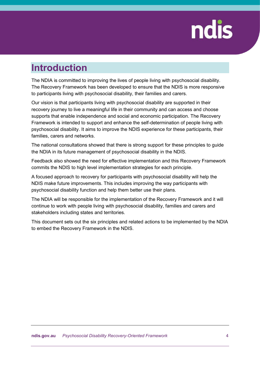#### <span id="page-3-0"></span>**Introduction**

The NDIA is committed to improving the lives of people living with psychosocial disability. The Recovery Framework has been developed to ensure that the NDIS is more responsive to participants living with psychosocial disability, their families and carers.

Our vision is that participants living with psychosocial disability are supported in their recovery journey to live a meaningful life in their community and can access and choose supports that enable independence and social and economic participation. The Recovery Framework is intended to support and enhance the self-determination of people living with psychosocial disability. It aims to improve the NDIS experience for these participants, their families, carers and networks.

The national consultations showed that there is strong support for these principles to guide the NDIA in its future management of psychosocial disability in the NDIS.

Feedback also showed the need for effective implementation and this Recovery Framework commits the NDIS to high level implementation strategies for each principle.

A focused approach to recovery for participants with psychosocial disability will help the NDIS make future improvements. This includes improving the way participants with psychosocial disability function and help them better use their plans.

The NDIA will be responsible for the implementation of the Recovery Framework and it will continue to work with people living with psychosocial disability, families and carers and stakeholders including states and territories.

This document sets out the six principles and related actions to be implemented by the NDIA to embed the Recovery Framework in the NDIS.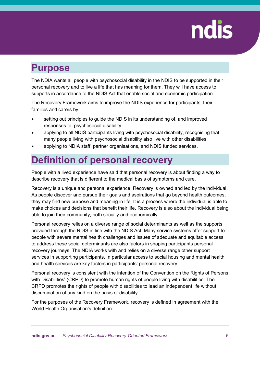#### <span id="page-4-0"></span>**Purpose**

The NDIA wants all people with psychosocial disability in the NDIS to be supported in their personal recovery and to live a life that has meaning for them. They will have access to supports in accordance to the NDIS Act that enable social and economic participation.

The Recovery Framework aims to improve the NDIS experience for participants, their families and carers by:

- setting out principles to guide the NDIS in its understanding of, and improved responses to, psychosocial disability
- applying to all NDIS participants living with psychosocial disability, recognising that many people living with psychosocial disability also live with other disabilities
- applying to NDIA staff, partner organisations, and NDIS funded services.

### <span id="page-4-1"></span>**Definition of personal recovery**

People with a lived experience have said that personal recovery is about finding a way to describe recovery that is different to the medical basis of symptoms and cure.

Recovery is a unique and personal experience. Recovery is owned and led by the individual. As people discover and pursue their goals and aspirations that go beyond health outcomes, they may find new purpose and meaning in life. It is a process where the individual is able to make choices and decisions that benefit their life. Recovery is also about the individual being able to join their community, both socially and economically.

Personal recovery relies on a diverse range of social determinants as well as the supports provided through the NDIS in line with the NDIS Act. Many service systems offer support to people with severe mental health challenges and issues of adequate and equitable access to address these social determinants are also factors in shaping participants personal recovery journeys. The NDIA works with and relies on a diverse range other support services in supporting participants. In particular access to social housing and mental health and health services are key factors in participants' personal recovery.

Personal recovery is consistent with the intention of the Convention on the Rights of Persons with Disabilities' (CRPD) to promote human rights of people living with disabilities. The CRPD promotes the rights of people with disabilities to lead an independent life without discrimination of any kind on the basis of disability.

For the purposes of the Recovery Framework, recovery is defined in agreement with the World Health Organisation's definition: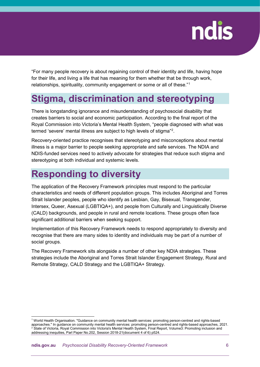"For many people recovery is about regaining control of their identity and life, having hope for their life, and living a life that has meaning for them whether that be through work, relationships, spirituality, community engagement or some or all of these."[1](#page-5-2)

### <span id="page-5-0"></span>**Stigma, discrimination and stereotyping**

There is longstanding ignorance and misunderstanding of psychosocial disability that creates barriers to social and economic participation. According to the final report of the Royal Commission into Victoria's Mental Health System, "people diagnosed with what was termed 'severe' mental illness are subject to high levels of stigma"[2](#page-5-3) .

Recovery-oriented practice recognises that stereotyping and misconceptions about mental illness is a major barrier to people seeking appropriate and safe services. The NDIA and NDIS-funded services need to actively advocate for strategies that reduce such stigma and stereotyping at both individual and systemic levels.

### <span id="page-5-1"></span>**Responding to diversity**

The application of the Recovery Framework principles must respond to the particular characteristics and needs of different population groups. This includes Aboriginal and Torres Strait Islander peoples, people who identify as Lesbian, Gay, Bisexual, Transgender, Intersex, Queer, Asexual (LGBTIQA+), and people from Culturally and Linguistically Diverse (CALD) backgrounds, and people in rural and remote locations. These groups often face significant additional barriers when seeking support.

Implementation of this Recovery Framework needs to respond appropriately to diversity and recognise that there are many sides to identity and individuals may be part of a number of social groups.

The Recovery Framework sits alongside a number of other key NDIA strategies. These strategies include the Aboriginal and Torres Strait Islander Engagement Strategy, Rural and Remote Strategy, CALD Strategy and the LGBTIQA+ Strategy.

<span id="page-5-3"></span><span id="page-5-2"></span> <sup>1</sup> World Health Organisation. "Guidance on community mental health services: promoting person-centred and rights-based approaches." In guidance on community mental health services: promoting person-centred and rights-based approaches, 2021. <sup>2</sup> State of Victoria, Royal Commission into Victoria's Mental Health System, Final Report, Volume3: Promoting inclusion and addressing inequities, Parl Paper No.202, Session 2018-21(document 4 of 6) p524.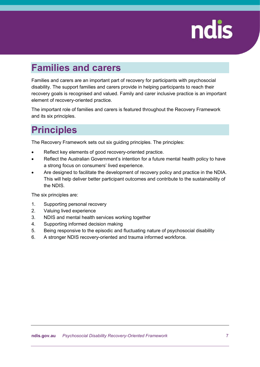#### <span id="page-6-0"></span>**Families and carers**

Families and carers are an important part of recovery for participants with psychosocial disability. The support families and carers provide in helping participants to reach their recovery goals is recognised and valued. Family and carer inclusive practice is an important element of recovery-oriented practice.

The important role of families and carers is featured throughout the Recovery Framework and its six principles.

#### <span id="page-6-1"></span>**Principles**

The Recovery Framework sets out six guiding principles. The principles:

- Reflect key elements of good recovery-oriented practice.
- Reflect the Australian Government's intention for a future mental health policy to have a strong focus on consumers' lived experience.
- Are designed to facilitate the development of recovery policy and practice in the NDIA. This will help deliver better participant outcomes and contribute to the sustainability of the NDIS.

The six principles are:

- 1. Supporting personal recovery
- 2. Valuing lived experience
- 3. NDIS and mental health services working together
- 4. Supporting informed decision making
- 5. Being responsive to the episodic and fluctuating nature of psychosocial disability
- 6. A stronger NDIS recovery-oriented and trauma informed workforce.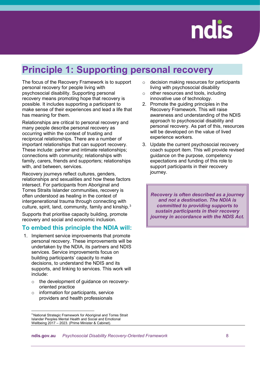

### <span id="page-7-0"></span>**Principle 1: Supporting personal recovery**

The focus of the Recovery Framework is to support personal recovery for people living with psychosocial disability. Supporting personal recovery means promoting hope that recovery is possible. It includes supporting a participant to make sense of their experiences and lead a life that has meaning for them.

Relationships are critical to personal recovery and many people describe personal recovery as occurring within the context of trusting and reciprocal relationships. There are a number of important relationships that can support recovery. These include: partner and intimate relationships; connections with community; relationships with family, carers, friends and supporters; relationships with, and between, services.

Recovery journeys reflect cultures, genders, relationships and sexualities and how these factors intersect. For participants from Aboriginal and Torres Straits Islander communities, recovery is often understood as healing in the context of intergenerational trauma through connecting with culture, spirit, land, community, family and kinship.<sup>[3](#page-7-1)</sup>

Supports that prioritise capacity building, promote recovery and social and economic inclusion.

#### **To embed this principle the NDIA will:**

- 1. Implement service improvements that promote personal recovery. These improvements will be undertaken by the NDIA, its partners and NDIS services. Service improvements focus on building participants' capacity to make decisions, to understand the NDIS and its supports, and linking to services. This work will include:
	- o the development of guidance on recoveryoriented practice
	- $\circ$  information for participants, service providers and health professionals
- o decision making resources for participants living with psychosocial disability
- o other resources and tools, including innovative use of technology.
- 2. Promote the guiding principles in the Recovery Framework. This will raise awareness and understanding of the NDIS approach to psychosocial disability and personal recovery. As part of this, resources will be developed on the value of lived experience workers.
- 3. Update the current psychosocial recovery coach support item. This will provide revised guidance on the purpose, competency expectations and funding of this role to support participants in their recovery journey.

*Recovery is often described as a journey and not a destination. The NDIA is committed to providing supports to sustain participants in their recovery journey in accordance with the NDIS Act.*

<span id="page-7-1"></span> <sup>3</sup> National Strategic Framework for Aboriginal and Torres Strait Islander Peoples Mental Health and Social and Emotional Wellbeing 2017 – 2023. (Prime Minister & Cabinet).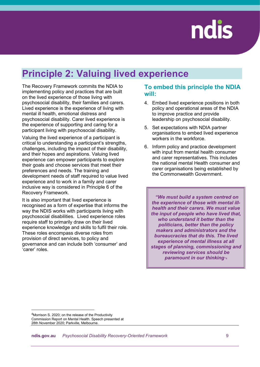#### <span id="page-8-0"></span>**Principle 2: Valuing lived experience**

The Recovery Framework commits the NDIA to implementing policy and practices that are built on the lived experience of those living with psychosocial disability, their families and carers. Lived experience is the experience of living with mental ill health, emotional distress and psychosocial disability. Carer lived experience is the experience of supporting and caring for a participant living with psychosocial disability.

Valuing the lived experience of a participant is critical to understanding a participant's strengths, challenges, including the impact of their disability, and their hopes and aspirations. Valuing lived experience can empower participants to explore their goals and choose services that meet their preferences and needs. The training and development needs of staff required to value lived experience and to work in a family and carer inclusive way is considered in Principle 6 of the Recovery Framework.

It is also important that lived experience is recognised as a form of expertise that informs the way the NDIS works with participants living with psychosocial disabilities. Lived experience roles require staff to primarily draw on their lived experience knowledge and skills to fulfil their role. These roles encompass diverse roles from provision of direct services, to policy and governance and can include both 'consumer' and 'carer' roles.

#### **To embed this principle the NDIA will:**

- 4. Embed lived experience positions in both policy and operational areas of the NDIA to improve practice and provide leadership on psychosocial disability.
- 5. Set expectations with NDIA partner organisations to embed lived experience workers in the workforce.
- 6. Inform policy and practice development with input from mental health consumer and carer representatives. This includes the national mental Health consumer and carer organisations being established by the Commonwealth Government.

*"We must build a system centred on the experience of those with mental illhealth and their carers. We must value the input of people who have lived that, who understand it better than the politicians, better than the policy makers and administrators and the bureaucracies that do this. The lived experience of mental illness at all stages of planning, commissioning and reviewing services should be paramount in our thinking"*[4](#page-8-1)

<span id="page-8-1"></span> <sup>4</sup>Morrison S. 2020; on the release of the Productivity Commission Report on Mental Health. Speech presented at 28th November 2020; Parkville, Melbourne.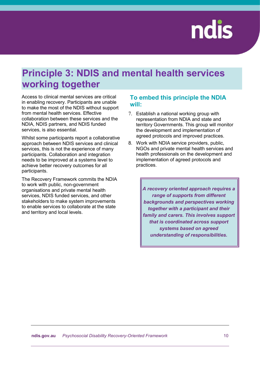### <span id="page-9-0"></span>**Principle 3: NDIS and mental health services working together**

Access to clinical mental services are critical in enabling recovery. Participants are unable to make the most of the NDIS without support from mental health services. Effective collaboration between these services and the NDIA, NDIS partners, and NDIS funded services, is also essential.

Whilst some participants report a collaborative approach between NDIS services and clinical services, this is not the experience of many participants. Collaboration and integration needs to be improved at a systems level to achieve better recovery outcomes for all participants.

The Recovery Framework commits the NDIA to work with public, non-government organisations and private mental health services, NDIS funded services, and other stakeholders to make system improvements to enable services to collaborate at the state and territory and local levels.

#### **To embed this principle the NDIA will:**

- 7. Establish a national working group with representation from NDIA and state and territory Governments. This group will monitor the development and implementation of agreed protocols and improved practices.
- 8. Work with NDIA service providers, public, NGOs and private mental health services and health professionals on the development and implementation of agreed protocols and practices.

*A recovery oriented approach requires a range of supports from different backgrounds and perspectives working together with a participant and their family and carers. This involves support that is coordinated across support systems based on agreed understanding of responsibilities.*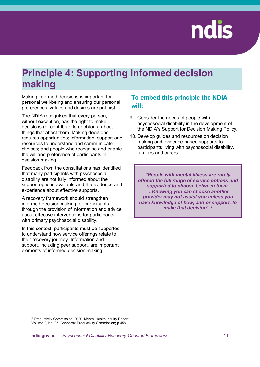### <span id="page-10-0"></span>**Principle 4: Supporting informed decision making**

Making informed decisions is important for personal well-being and ensuring our personal preferences, values and desires are put first.

The NDIA recognises that every person, without exception, has the right to make decisions (or contribute to decisions) about things that affect them. Making decisions requires opportunities; information, support and resources to understand and communicate choices; and people who recognise and enable the will and preference of participants in decision making.

Feedback from the consultations has identified that many participants with psychosocial disability are not fully informed about the support options available and the evidence and experience about effective supports.

A recovery framework should strengthen informed decision making for participants through the provision of information and advice about effective interventions for participants with primary psychosocial disability.

In this context, participants must be supported to understand how service offerings relate to their recovery journey. Information and support, including peer support, are important elements of informed decision making.

#### **To embed this principle the NDIA will:**

- 9. Consider the needs of people with psychosocial disability in the development of the NDIA's Support for Decision Making Policy.
- 10. Develop guides and resources on decision making and evidence-based supports for participants living with psychosocial disability, families and carers.

*"People with mental illness are rarely offered the full range of service options and supported to choose between them. …Knowing you can choose another provider may not assist you unless you have knowledge of how, and or support, to make that decision".[5](#page-10-1)*

<span id="page-10-1"></span> <sup>5</sup> Productivity Commission; 2020. Mental Health Inquiry Report: Volume 2, No. 95. Canberra: Productivity Commission; p.458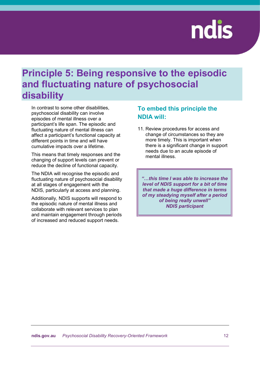#### <span id="page-11-0"></span>**Principle 5: Being responsive to the episodic and fluctuating nature of psychosocial disability**

In contrast to some other disabilities, psychosocial disability can involve episodes of mental illness over a participant's life span. The episodic and fluctuating nature of mental illness can affect a participant's functional capacity at different points in time and will have cumulative impacts over a lifetime.

This means that timely responses and the changing of support levels can prevent or reduce the decline of functional capacity.

The NDIA will recognise the episodic and fluctuating nature of psychosocial disability at all stages of engagement with the NDIS, particularly at access and planning.

Additionally, NDIS supports will respond to the episodic nature of mental illness and collaborate with relevant services to plan and maintain engagement through periods of increased and reduced support needs.

#### **To embed this principle the NDIA will:**

11. Review procedures for access and change of circumstances so they are more timely. This is important when there is a significant change in support needs due to an acute episode of mental illness.

*"…this time I was able to increase the level of NDIS support for a bit of time that made a huge difference in terms of my steadying myself after a period of being really unwell" NDIS participant*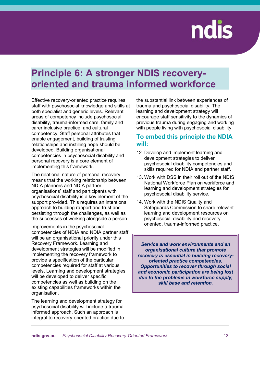#### <span id="page-12-0"></span>**Principle 6: A stronger NDIS recoveryoriented and trauma informed workforce**

Effective recovery-oriented practice requires staff with psychosocial knowledge and skills at both specialist and generic levels. Relevant areas of competency include psychosocial disability, trauma-informed care, family and carer inclusive practice, and cultural competency. Staff personal attributes that enable engagement, building of trusting relationships and instilling hope should be developed. Building organisational competencies in psychosocial disability and personal recovery is a core element of implementing this framework.

The relational nature of personal recovery means that the working relationship between NDIA planners and NDIA partner organisations' staff and participants with psychosocial disability is a key element of the support provided. This requires an intentional approach to building rapport and trust and persisting through the challenges, as well as the successes of working alongside a person.

Improvements in the psychosocial competencies of NDIA and NDIA partner staff will be an organisational priority under this Recovery Framework. Learning and development strategies will be modified in implementing the recovery framework to provide a specification of the particular competencies required for staff at various levels. Learning and development strategies will be developed to deliver specific competencies as well as building on the existing capabilities frameworks within the organisation.

The learning and development strategy for psychosocial disability will include a trauma informed approach. Such an approach is integral to recovery-oriented practice due to the substantial link between experiences of trauma and psychosocial disability. The learning and development strategy will encourage staff sensitivity to the dynamics of previous trauma during engaging and working with people living with psychosocial disability.

#### **To embed this principle the NDIA will:**

- 12. Develop and implement learning and development strategies to deliver psychosocial disability competencies and skills required for NDIA and partner staff.
- 13. Work with DSS in their roll out of the NDIS National Workforce Plan on workforce and learning and development strategies for psychosocial disability service.
- 14. Work with the NDIS Quality and Safeguards Commission to share relevant learning and development resources on psychosocial disability and recoveryoriented, trauma-informed practice.

*Service and work environments and an organisational culture that promote recovery is essential in building recoveryoriented practice competencies. Opportunities to recover through social and economic participation are being lost due to the problems in workforce supply, skill base and retention.*